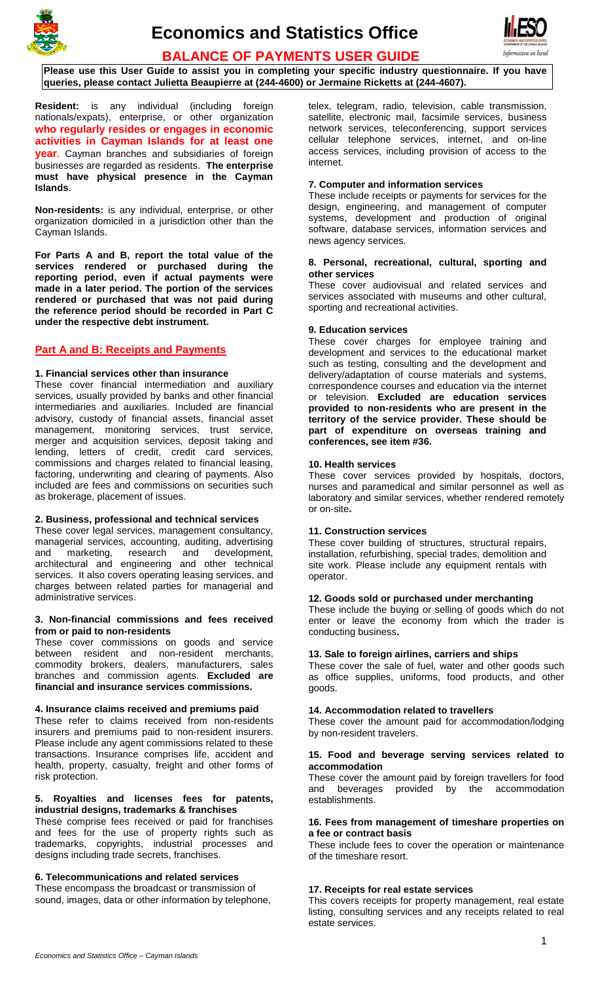



**BALANCE OF PAYMENTS USER GUIDE**

**Please use this User Guide to assist you in completing your specific industry questionnaire. If you have queries, please contact Julietta Beaupierre at (244-4600) or Jermaine Ricketts at (244-4607).**

**Resident:** is any individual (including foreign nationals/expats), enterprise, or other organization **who regularly resides or engages in economic activities in Cayman Islands for at least one year**. Cayman branches and subsidiaries of foreign businesses are regarded as residents. **The enterprise must have physical presence in the Cayman Islands**.

**Non-residents:** is any individual, enterprise, or other organization domiciled in a jurisdiction other than the Cayman Islands.

**For Parts A and B, report the total value of the services rendered or purchased during the reporting period, even if actual payments were made in a later period. The portion of the services rendered or purchased that was not paid during the reference period should be recorded in Part C under the respective debt instrument.**

# **Part A and B: Receipts and Payments**

# **1. Financial services other than insurance**

These cover financial intermediation and auxiliary services, usually provided by banks and other financial intermediaries and auxiliaries. Included are financial advisory, custody of financial assets, financial asset management, monitoring services, trust service, merger and acquisition services, deposit taking and lending, letters of credit, credit card services, commissions and charges related to financial leasing, factoring, underwriting and clearing of payments. Also included are fees and commissions on securities such as brokerage, placement of issues.

## **2. Business, professional and technical services**

These cover legal services, management consultancy, managerial services, accounting, auditing, advertising and marketing, research and development, architectural and engineering and other technical services. It also covers operating leasing services, and charges between related parties for managerial and administrative services.

#### **3. Non-financial commissions and fees received from or paid to non-residents**

These cover commissions on goods and service between resident and non-resident merchants, commodity brokers, dealers, manufacturers, sales branches and commission agents. **Excluded are financial and insurance services commissions.**

### **4. Insurance claims received and premiums paid**

These refer to claims received from non-residents insurers and premiums paid to non-resident insurers. Please include any agent commissions related to these transactions. Insurance comprises life, accident and health, property, casualty, freight and other forms of risk protection.

### **5. Royalties and licenses fees for patents, industrial designs, trademarks & franchises**

These comprise fees received or paid for franchises and fees for the use of property rights such as trademarks, copyrights, industrial processes and designs including trade secrets, franchises.

# **6. Telecommunications and related services**

These encompass the broadcast or transmission of sound, images, data or other information by telephone, telex, telegram, radio, television, cable transmission, satellite, electronic mail, facsimile services, business network services, teleconferencing, support services cellular telephone services, internet, and on-line access services, including provision of access to the internet.

# **7. Computer and information services**

These include receipts or payments for services for the design, engineering, and management of computer systems, development and production of original software, database services, information services and news agency services.

#### **8. Personal, recreational, cultural, sporting and other services**

These cover audiovisual and related services and services associated with museums and other cultural, sporting and recreational activities.

# **9. Education services**

These cover charges for employee training and development and services to the educational market such as testing, consulting and the development and delivery/adaptation of course materials and systems, correspondence courses and education via the internet or television. **Excluded are education services provided to non-residents who are present in the territory of the service provider. These should be part of expenditure on overseas training and conferences, see item #36.**

### **10. Health services**

These cover services provided by hospitals, doctors, nurses and paramedical and similar personnel as well as laboratory and similar services, whether rendered remotely or on-site**.**

### **11. Construction services**

These cover building of structures, structural repairs, installation, refurbishing, special trades, demolition and site work. Please include any equipment rentals with operator.

## **12. Goods sold or purchased under merchanting**

These include the buying or selling of goods which do not enter or leave the economy from which the trader is conducting business**.**

# **13. Sale to foreign airlines, carriers and ships**

These cover the sale of fuel, water and other goods such as office supplies, uniforms, food products, and other goods.

# **14. Accommodation related to travellers**

These cover the amount paid for accommodation/lodging by non-resident travelers.

### **15. Food and beverage serving services related to accommodation**

These cover the amount paid by foreign travellers for food and beverages provided by the accommodation establishments.

### **16. Fees from management of timeshare properties on a fee or contract basis**

These include fees to cover the operation or maintenance of the timeshare resort.

# **17. Receipts for real estate services**

This covers receipts for property management, real estate listing, consulting services and any receipts related to real estate services.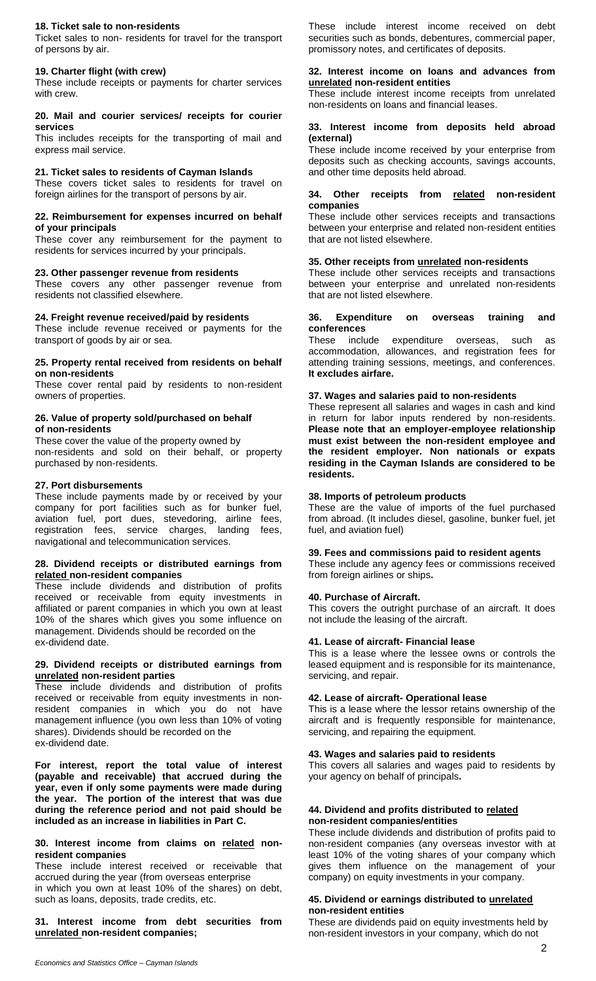### **18. Ticket sale to non-residents**

Ticket sales to non- residents for travel for the transport of persons by air.

## **19. Charter flight (with crew)**

These include receipts or payments for charter services with crew.

### **20. Mail and courier services/ receipts for courier services**

This includes receipts for the transporting of mail and express mail service.

#### **21. Ticket sales to residents of Cayman Islands**

These covers ticket sales to residents for travel on foreign airlines for the transport of persons by air.

#### **22. Reimbursement for expenses incurred on behalf of your principals**

These cover any reimbursement for the payment to residents for services incurred by your principals.

#### **23. Other passenger revenue from residents**

These covers any other passenger revenue from residents not classified elsewhere.

### **24. Freight revenue received/paid by residents**

These include revenue received or payments for the transport of goods by air or sea.

#### **25. Property rental received from residents on behalf on non-residents**

These cover rental paid by residents to non-resident owners of properties.

### **26. Value of property sold/purchased on behalf of non-residents**

These cover the value of the property owned by non-residents and sold on their behalf, or property purchased by non-residents.

#### **27. Port disbursements**

These include payments made by or received by your company for port facilities such as for bunker fuel, aviation fuel, port dues, stevedoring, airline fees, registration fees, service charges, landing fees, navigational and telecommunication services.

#### **28. Dividend receipts or distributed earnings from related non-resident companies**

These include dividends and distribution of profits received or receivable from equity investments in affiliated or parent companies in which you own at least 10% of the shares which gives you some influence on management. Dividends should be recorded on the ex-dividend date.

### **29. Dividend receipts or distributed earnings from unrelated non-resident parties**

These include dividends and distribution of profits received or receivable from equity investments in nonresident companies in which you do not have management influence (you own less than 10% of voting shares). Dividends should be recorded on the ex-dividend date.

**For interest, report the total value of interest (payable and receivable) that accrued during the year, even if only some payments were made during the year. The portion of the interest that was due during the reference period and not paid should be included as an increase in liabilities in Part C.**

**30. Interest income from claims on related nonresident companies** 

These include interest received or receivable that accrued during the year (from overseas enterprise in which you own at least 10% of the shares) on debt, such as loans, deposits, trade credits, etc.

**31. Interest income from debt securities from unrelated non-resident companies;** 

These include interest income received on debt securities such as bonds, debentures, commercial paper, promissory notes, and certificates of deposits.

# **32. Interest income on loans and advances from unrelated non-resident entities**

These include interest income receipts from unrelated non-residents on loans and financial leases.

#### **33. Interest income from deposits held abroad (external)**

These include income received by your enterprise from deposits such as checking accounts, savings accounts, and other time deposits held abroad.

## **34. Other receipts from related non-resident companies**

These include other services receipts and transactions between your enterprise and related non-resident entities that are not listed elsewhere.

# **35. Other receipts from unrelated non-residents**

These include other services receipts and transactions between your enterprise and unrelated non-residents that are not listed elsewhere.

### **36. Expenditure on overseas training and conferences**

These include expenditure overseas, such as accommodation, allowances, and registration fees for attending training sessions, meetings, and conferences. **It excludes airfare.**

### **37. Wages and salaries paid to non-residents**

These represent all salaries and wages in cash and kind in return for labor inputs rendered by non-residents. **Please note that an employer-employee relationship must exist between the non-resident employee and the resident employer. Non nationals or expats residing in the Cayman Islands are considered to be residents.**

### **38. Imports of petroleum products**

These are the value of imports of the fuel purchased from abroad. (It includes diesel, gasoline, bunker fuel, jet fuel, and aviation fuel)

## **39. Fees and commissions paid to resident agents**

These include any agency fees or commissions received from foreign airlines or ships**.**

#### **40. Purchase of Aircraft.**

This covers the outright purchase of an aircraft. It does not include the leasing of the aircraft.

### **41. Lease of aircraft- Financial lease**

This is a lease where the lessee owns or controls the leased equipment and is responsible for its maintenance, servicing, and repair.

## **42. Lease of aircraft- Operational lease**

This is a lease where the lessor retains ownership of the aircraft and is frequently responsible for maintenance, servicing, and repairing the equipment.

#### **43. Wages and salaries paid to residents**

This covers all salaries and wages paid to residents by your agency on behalf of principals**.**

## **44. Dividend and profits distributed to related non-resident companies/entities**

These include dividends and distribution of profits paid to non-resident companies (any overseas investor with at least 10% of the voting shares of your company which gives them influence on the management of your company) on equity investments in your company.

### **45. Dividend or earnings distributed to unrelated non-resident entities**

These are dividends paid on equity investments held by non-resident investors in your company, which do not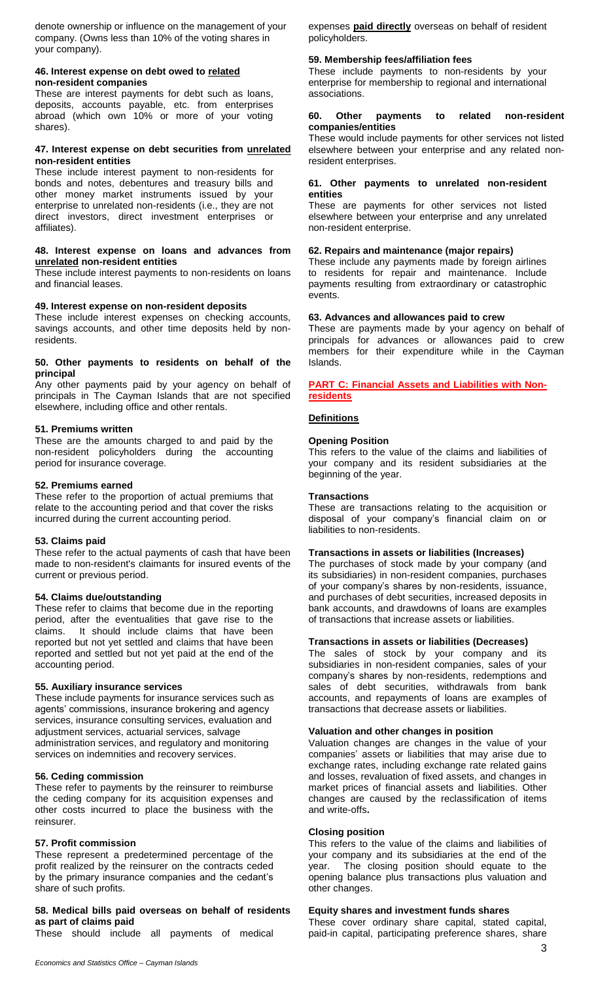denote ownership or influence on the management of your company. (Owns less than 10% of the voting shares in your company).

#### **46. Interest expense on debt owed to related non-resident companies**

These are interest payments for debt such as loans, deposits, accounts payable, etc. from enterprises abroad (which own 10% or more of your voting shares).

## **47. Interest expense on debt securities from unrelated non-resident entities**

These include interest payment to non-residents for bonds and notes, debentures and treasury bills and other money market instruments issued by your enterprise to unrelated non-residents (i.e., they are not direct investors, direct investment enterprises or affiliates).

#### **48. Interest expense on loans and advances from unrelated non-resident entities**

These include interest payments to non-residents on loans and financial leases.

# **49. Interest expense on non-resident deposits**

These include interest expenses on checking accounts, savings accounts, and other time deposits held by nonresidents.

## **50. Other payments to residents on behalf of the principal**

Any other payments paid by your agency on behalf of principals in The Cayman Islands that are not specified elsewhere, including office and other rentals.

# **51. Premiums written**

These are the amounts charged to and paid by the non-resident policyholders during the accounting period for insurance coverage.

## **52. Premiums earned**

These refer to the proportion of actual premiums that relate to the accounting period and that cover the risks incurred during the current accounting period.

### **53. Claims paid**

These refer to the actual payments of cash that have been made to non-resident's claimants for insured events of the current or previous period.

# **54. Claims due/outstanding**

These refer to claims that become due in the reporting period, after the eventualities that gave rise to the claims. It should include claims that have been reported but not yet settled and claims that have been reported and settled but not yet paid at the end of the accounting period.

### **55. Auxiliary insurance services**

These include payments for insurance services such as agents' commissions, insurance brokering and agency services, insurance consulting services, evaluation and adjustment services, actuarial services, salvage administration services, and regulatory and monitoring services on indemnities and recovery services.

### **56. Ceding commission**

These refer to payments by the reinsurer to reimburse the ceding company for its acquisition expenses and other costs incurred to place the business with the reinsurer.

# **57. Profit commission**

These represent a predetermined percentage of the profit realized by the reinsurer on the contracts ceded by the primary insurance companies and the cedant's share of such profits.

# **58. Medical bills paid overseas on behalf of residents as part of claims paid**

These should include all payments of medical

expenses **paid directly** overseas on behalf of resident policyholders.

# **59. Membership fees/affiliation fees**

These include payments to non-residents by your enterprise for membership to regional and international associations.

#### **60. Other payments to related non-resident companies/entities**

These would include payments for other services not listed elsewhere between your enterprise and any related nonresident enterprises.

## **61. Other payments to unrelated non-resident entities**

These are payments for other services not listed elsewhere between your enterprise and any unrelated non-resident enterprise.

# **62. Repairs and maintenance (major repairs)**

These include any payments made by foreign airlines to residents for repair and maintenance. Include payments resulting from extraordinary or catastrophic events.

# **63. Advances and allowances paid to crew**

These are payments made by your agency on behalf of principals for advances or allowances paid to crew members for their expenditure while in the Cayman Islands.

**PART C: Financial Assets and Liabilities with Nonresidents**

# **Definitions**

# **Opening Position**

This refers to the value of the claims and liabilities of your company and its resident subsidiaries at the beginning of the year.

### **Transactions**

These are transactions relating to the acquisition or disposal of your company's financial claim on or liabilities to non-residents.

## **Transactions in assets or liabilities (Increases)**

The purchases of stock made by your company (and its subsidiaries) in non-resident companies, purchases of your company's shares by non-residents, issuance, and purchases of debt securities, increased deposits in bank accounts, and drawdowns of loans are examples of transactions that increase assets or liabilities.

# **Transactions in assets or liabilities (Decreases)**

The sales of stock by your company and its subsidiaries in non-resident companies, sales of your company's shares by non-residents, redemptions and sales of debt securities, withdrawals from bank accounts, and repayments of loans are examples of transactions that decrease assets or liabilities.

### **Valuation and other changes in position**

Valuation changes are changes in the value of your companies' assets or liabilities that may arise due to exchange rates, including exchange rate related gains and losses, revaluation of fixed assets, and changes in market prices of financial assets and liabilities. Other changes are caused by the reclassification of items and write-offs**.**

## **Closing position**

This refers to the value of the claims and liabilities of your company and its subsidiaries at the end of the year. The closing position should equate to the opening balance plus transactions plus valuation and other changes.

### **Equity shares and investment funds shares**

These cover ordinary share capital, stated capital, paid-in capital, participating preference shares, share